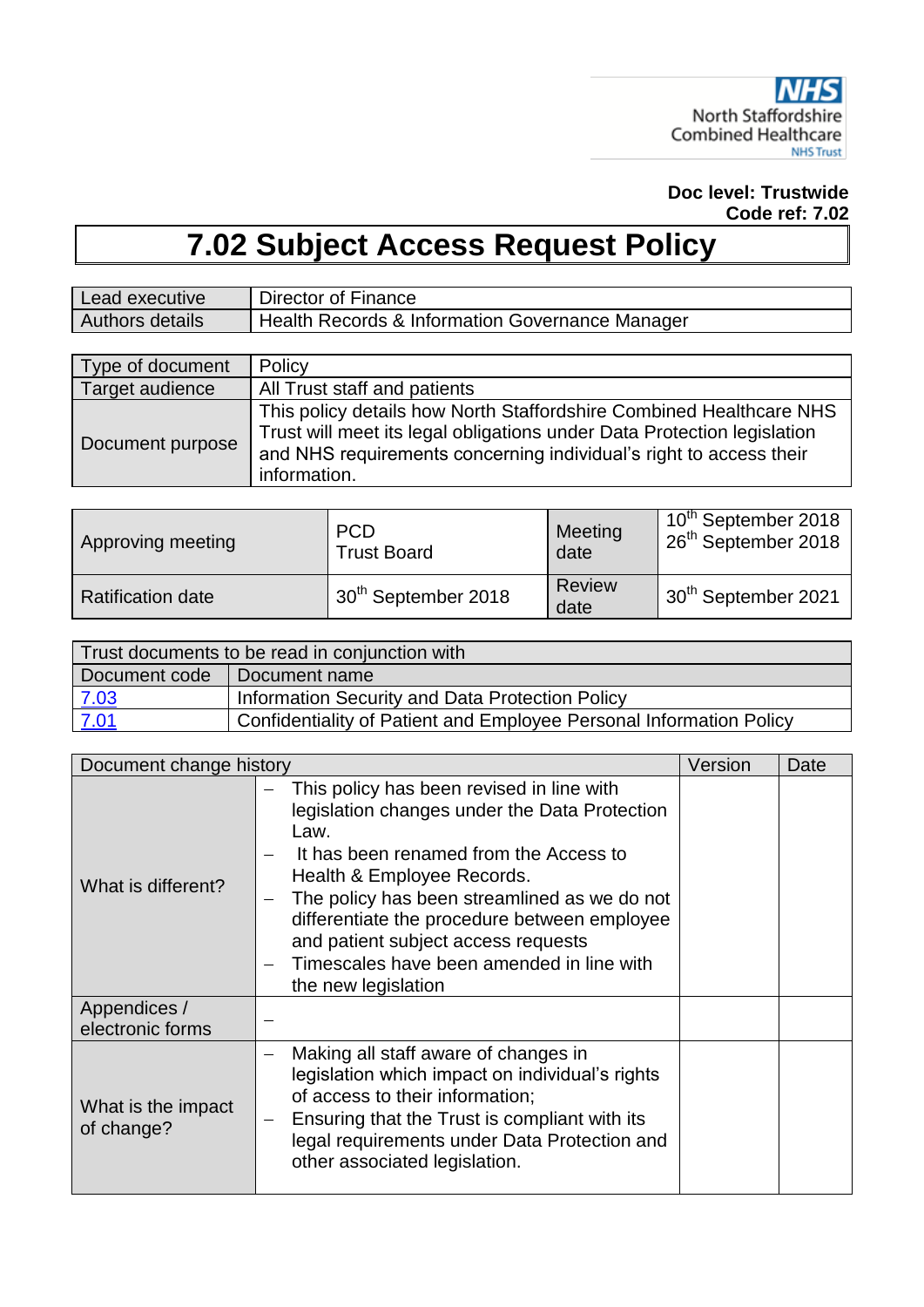

**Doc level: Trustwide Code ref: 7.02**

# **7.02 Subject Access Request Policy**

| Lead executive         | Director of Finance                             |
|------------------------|-------------------------------------------------|
| <b>Authors details</b> | Health Records & Information Governance Manager |

| Type of document | Policy                                                                                                                                                                                                                               |
|------------------|--------------------------------------------------------------------------------------------------------------------------------------------------------------------------------------------------------------------------------------|
| Target audience  | All Trust staff and patients                                                                                                                                                                                                         |
| Document purpose | This policy details how North Staffordshire Combined Healthcare NHS<br>Trust will meet its legal obligations under Data Protection legislation<br>and NHS requirements concerning individual's right to access their<br>information. |

| Approving meeting | <b>PCD</b>                      | Meeting        | 10 <sup>th</sup> September 2018  |
|-------------------|---------------------------------|----------------|----------------------------------|
|                   | <b>Trust Board</b>              | date           | ⊩26 <sup>th</sup> September 2018 |
| Ratification date | 30 <sup>th</sup> September 2018 | Review<br>date | ⊥30 <sup>th</sup> September 2021 |

| Trust documents to be read in conjunction with |                                                                     |  |
|------------------------------------------------|---------------------------------------------------------------------|--|
|                                                | Document code   Document name                                       |  |
| 7.03                                           | Information Security and Data Protection Policy                     |  |
| 7.01                                           | Confidentiality of Patient and Employee Personal Information Policy |  |

| Document change history          |                                                                                                                                                                                                                                                                                                                                                                                            | Version | Date |
|----------------------------------|--------------------------------------------------------------------------------------------------------------------------------------------------------------------------------------------------------------------------------------------------------------------------------------------------------------------------------------------------------------------------------------------|---------|------|
| What is different?               | This policy has been revised in line with<br>legislation changes under the Data Protection<br>Law.<br>It has been renamed from the Access to<br>Health & Employee Records.<br>The policy has been streamlined as we do not<br>—<br>differentiate the procedure between employee<br>and patient subject access requests<br>Timescales have been amended in line with<br>the new legislation |         |      |
| Appendices /<br>electronic forms |                                                                                                                                                                                                                                                                                                                                                                                            |         |      |
| What is the impact<br>of change? | Making all staff aware of changes in<br>legislation which impact on individual's rights<br>of access to their information;<br>Ensuring that the Trust is compliant with its<br>legal requirements under Data Protection and<br>other associated legislation.                                                                                                                               |         |      |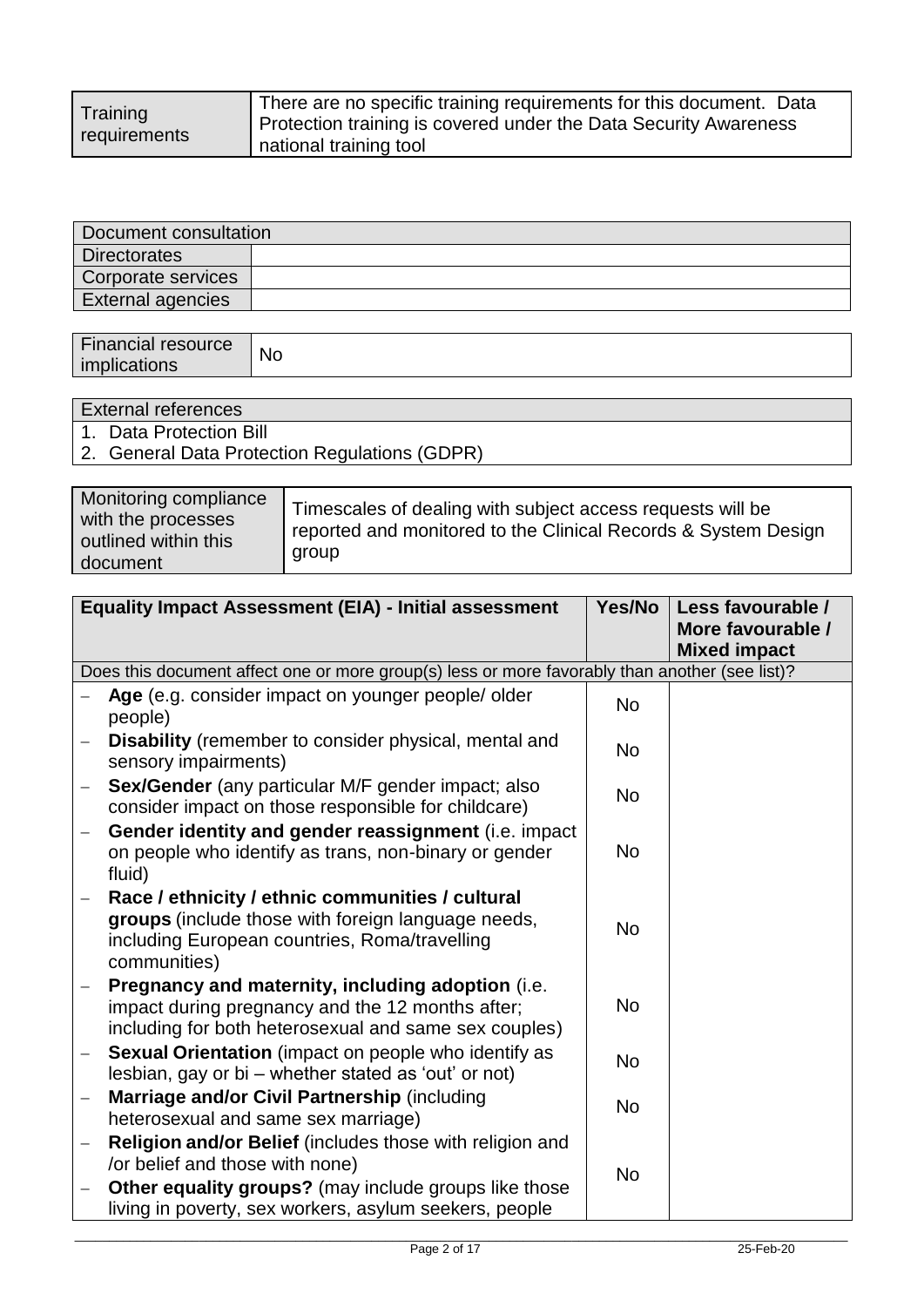| Training     | There are no specific training requirements for this document. Data |
|--------------|---------------------------------------------------------------------|
|              | Protection training is covered under the Data Security Awareness    |
| requirements | national training tool                                              |

| Document consultation |  |  |
|-----------------------|--|--|
| <b>Directorates</b>   |  |  |
| Corporate services    |  |  |
| External agencies     |  |  |

| <b>Financial resource</b> | <b>No</b> |
|---------------------------|-----------|
| . .<br>imr<br>"cations"   |           |

| External references                           |
|-----------------------------------------------|
| 1. Data Protection Bill                       |
| 2. General Data Protection Regulations (GDPR) |
|                                               |

| Monitoring compliance<br>with the processes<br>outlined within this<br>document | Timescales of dealing with subject access requests will be<br>reported and monitored to the Clinical Records & System Design<br>group |
|---------------------------------------------------------------------------------|---------------------------------------------------------------------------------------------------------------------------------------|
|---------------------------------------------------------------------------------|---------------------------------------------------------------------------------------------------------------------------------------|

|                          | <b>Equality Impact Assessment (EIA) - Initial assessment</b>                                                                                                            | Yes/No    | Less favourable /<br>More favourable /<br><b>Mixed impact</b> |
|--------------------------|-------------------------------------------------------------------------------------------------------------------------------------------------------------------------|-----------|---------------------------------------------------------------|
|                          | Does this document affect one or more group(s) less or more favorably than another (see list)?                                                                          |           |                                                               |
|                          | Age (e.g. consider impact on younger people/ older<br>people)                                                                                                           | <b>No</b> |                                                               |
|                          | <b>Disability</b> (remember to consider physical, mental and<br>sensory impairments)                                                                                    | <b>No</b> |                                                               |
|                          | Sex/Gender (any particular M/F gender impact; also<br>consider impact on those responsible for childcare)                                                               | <b>No</b> |                                                               |
| $\overline{\phantom{0}}$ | Gender identity and gender reassignment (i.e. impact<br>on people who identify as trans, non-binary or gender<br>fluid)                                                 | <b>No</b> |                                                               |
|                          | Race / ethnicity / ethnic communities / cultural<br>groups (include those with foreign language needs,<br>including European countries, Roma/travelling<br>communities) | <b>No</b> |                                                               |
|                          | Pregnancy and maternity, including adoption (i.e.<br>impact during pregnancy and the 12 months after;<br>including for both heterosexual and same sex couples)          | <b>No</b> |                                                               |
| $\qquad \qquad -$        | Sexual Orientation (impact on people who identify as<br>lesbian, gay or bi – whether stated as 'out' or not)                                                            | <b>No</b> |                                                               |
|                          | Marriage and/or Civil Partnership (including<br>heterosexual and same sex marriage)                                                                                     | <b>No</b> |                                                               |
| $\overline{\phantom{0}}$ | Religion and/or Belief (includes those with religion and<br>/or belief and those with none)                                                                             | <b>No</b> |                                                               |
| $\overline{\phantom{0}}$ | <b>Other equality groups?</b> (may include groups like those<br>living in poverty, sex workers, asylum seekers, people                                                  |           |                                                               |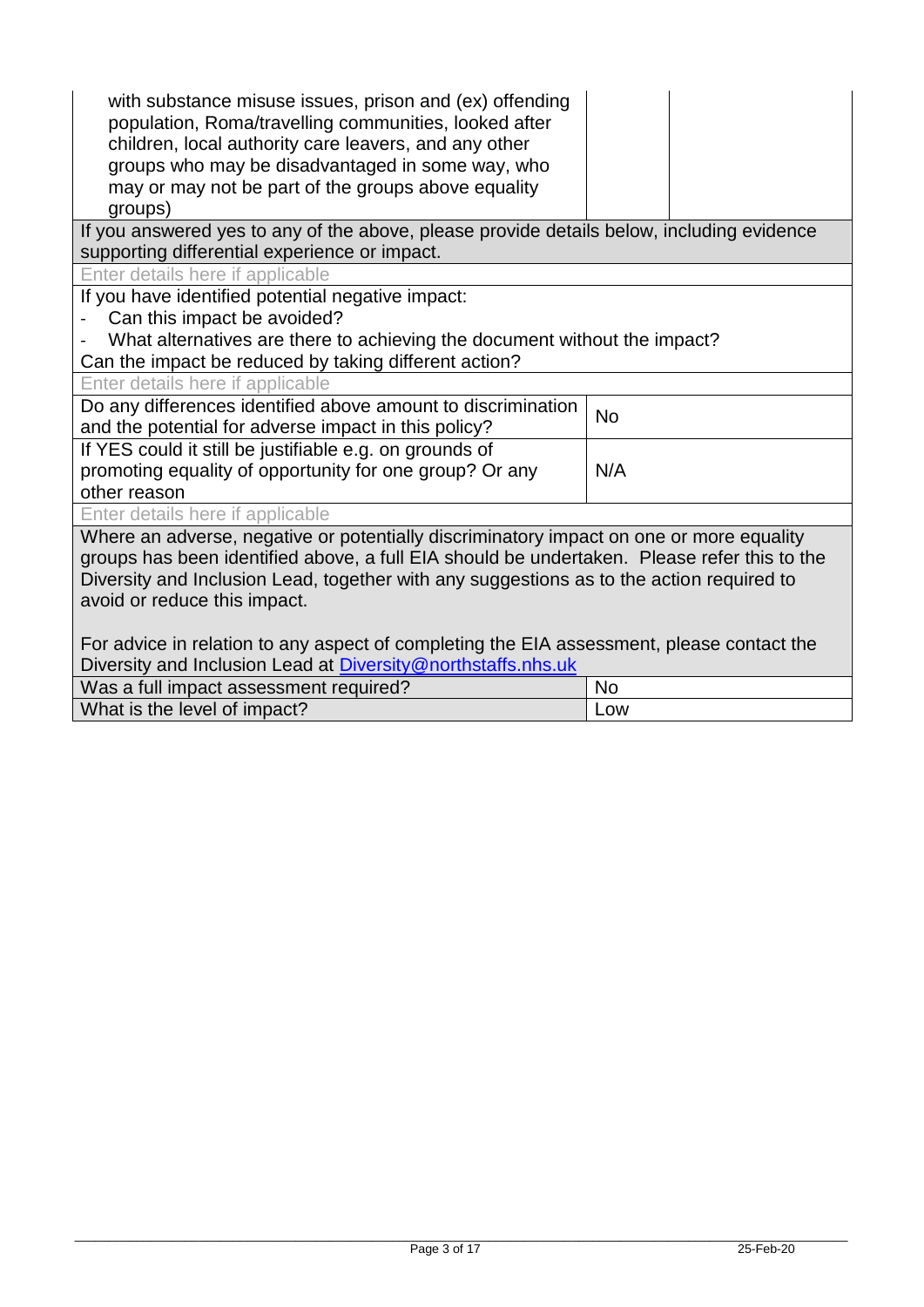| with substance misuse issues, prison and (ex) offending<br>population, Roma/travelling communities, looked after<br>children, local authority care leavers, and any other<br>groups who may be disadvantaged in some way, who<br>may or may not be part of the groups above equality<br>groups)                    |           |  |
|--------------------------------------------------------------------------------------------------------------------------------------------------------------------------------------------------------------------------------------------------------------------------------------------------------------------|-----------|--|
| If you answered yes to any of the above, please provide details below, including evidence<br>supporting differential experience or impact.                                                                                                                                                                         |           |  |
| Enter details here if applicable                                                                                                                                                                                                                                                                                   |           |  |
| If you have identified potential negative impact:                                                                                                                                                                                                                                                                  |           |  |
| Can this impact be avoided?                                                                                                                                                                                                                                                                                        |           |  |
| What alternatives are there to achieving the document without the impact?                                                                                                                                                                                                                                          |           |  |
| Can the impact be reduced by taking different action?                                                                                                                                                                                                                                                              |           |  |
| Enter details here if applicable                                                                                                                                                                                                                                                                                   |           |  |
| Do any differences identified above amount to discrimination                                                                                                                                                                                                                                                       | <b>No</b> |  |
| and the potential for adverse impact in this policy?                                                                                                                                                                                                                                                               |           |  |
| If YES could it still be justifiable e.g. on grounds of                                                                                                                                                                                                                                                            |           |  |
| promoting equality of opportunity for one group? Or any                                                                                                                                                                                                                                                            | N/A       |  |
| other reason                                                                                                                                                                                                                                                                                                       |           |  |
| Enter details here if applicable                                                                                                                                                                                                                                                                                   |           |  |
| Where an adverse, negative or potentially discriminatory impact on one or more equality<br>groups has been identified above, a full EIA should be undertaken. Please refer this to the<br>Diversity and Inclusion Lead, together with any suggestions as to the action required to<br>avoid or reduce this impact. |           |  |
| For advice in relation to any aspect of completing the EIA assessment, please contact the<br>Diversity and Inclusion Lead at Diversity@northstaffs.nhs.uk                                                                                                                                                          |           |  |
| Was a full impact assessment required?                                                                                                                                                                                                                                                                             | <b>No</b> |  |
| What is the level of impact?                                                                                                                                                                                                                                                                                       | Low       |  |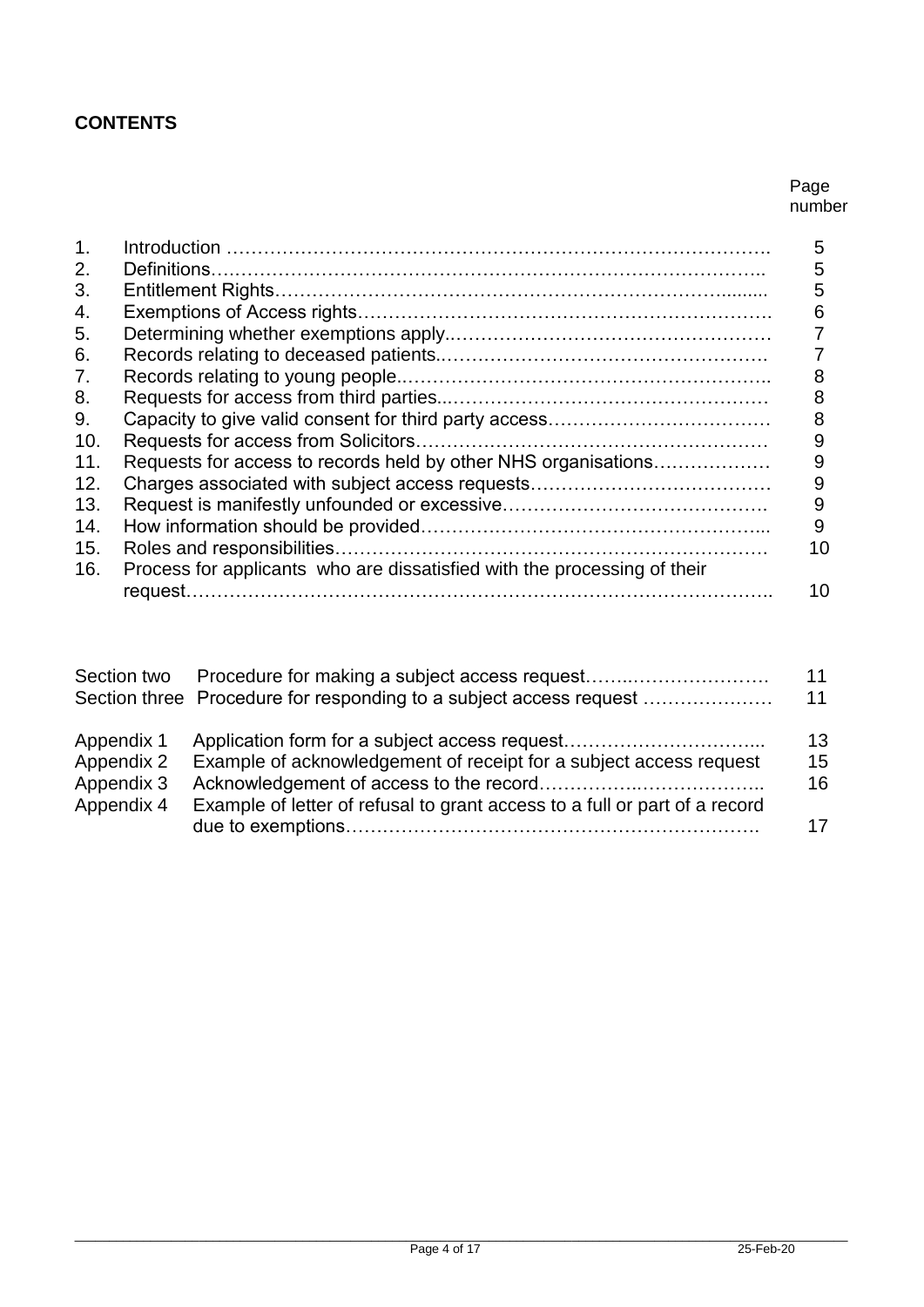# **CONTENTS**

#### Page number

| 1.  |                                                                          | 5  |
|-----|--------------------------------------------------------------------------|----|
| 2.  |                                                                          | 5  |
| 3.  |                                                                          | 5  |
| 4.  |                                                                          | 6  |
| 5.  |                                                                          |    |
| 6.  |                                                                          |    |
| 7.  |                                                                          |    |
| 8.  |                                                                          | 8  |
| 9.  |                                                                          | 8  |
| 10. |                                                                          | 9  |
| 11. | Requests for access to records held by other NHS organisations           | 9  |
| 12. |                                                                          | 9  |
| 13. |                                                                          | 9  |
| 14. |                                                                          | 9  |
| 15. |                                                                          | 10 |
| 16. | Process for applicants who are dissatisfied with the processing of their |    |
|     |                                                                          | 10 |

|                          |                                                                            | 11 |
|--------------------------|----------------------------------------------------------------------------|----|
|                          | Section three Procedure for responding to a subject access request         | 11 |
| Appendix 1               |                                                                            | 13 |
| Appendix 2               | Example of acknowledgement of receipt for a subject access request         | 15 |
| Appendix 3<br>Appendix 4 | Example of letter of refusal to grant access to a full or part of a record | 16 |
|                          |                                                                            | 17 |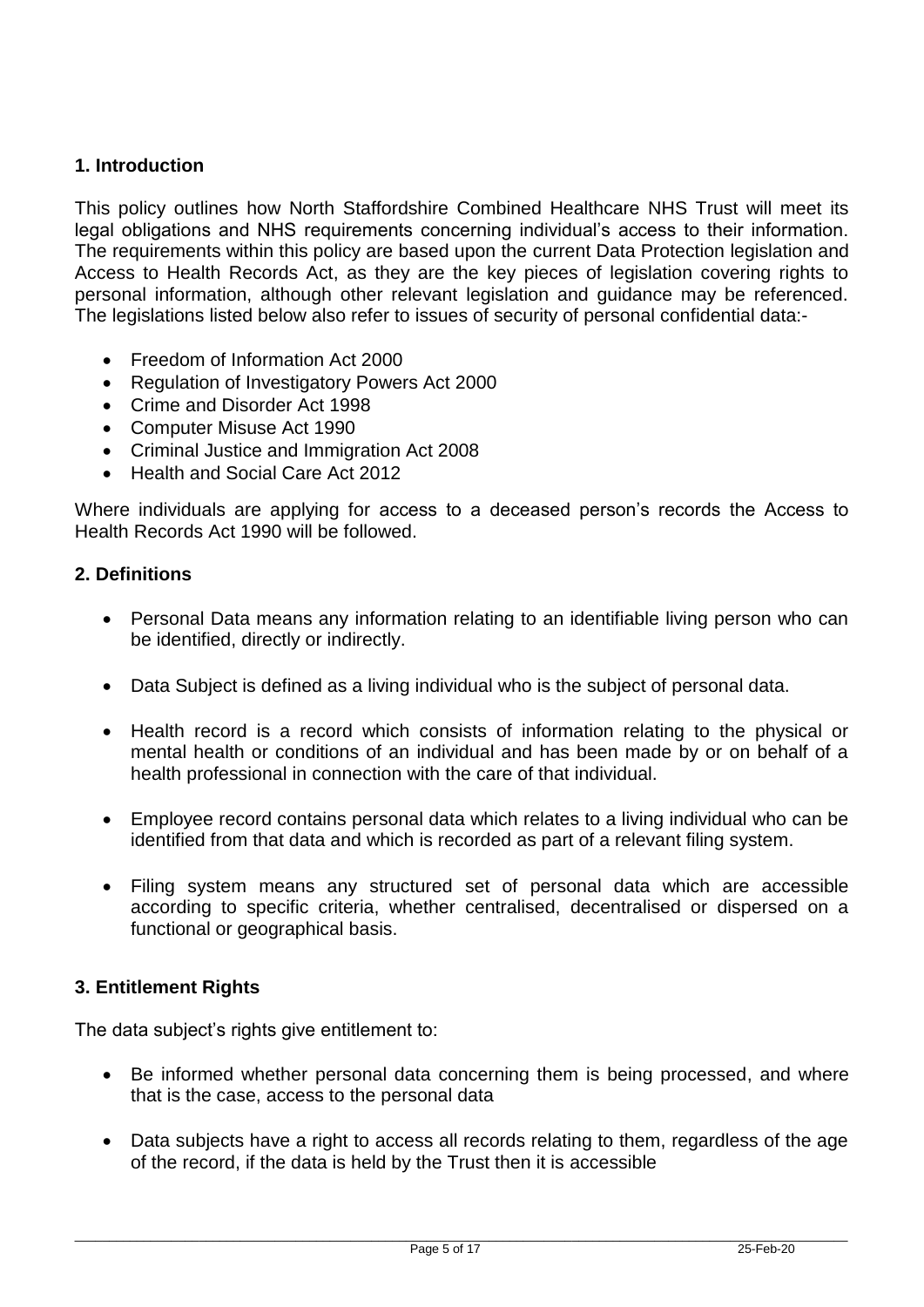# **1. Introduction**

This policy outlines how North Staffordshire Combined Healthcare NHS Trust will meet its legal obligations and NHS requirements concerning individual's access to their information. The requirements within this policy are based upon the current Data Protection legislation and Access to Health Records Act, as they are the key pieces of legislation covering rights to personal information, although other relevant legislation and guidance may be referenced. The legislations listed below also refer to issues of security of personal confidential data:-

- Freedom of Information Act 2000
- Regulation of Investigatory Powers Act 2000
- Crime and Disorder Act 1998
- Computer Misuse Act 1990
- Criminal Justice and Immigration Act 2008
- Health and Social Care Act 2012

Where individuals are applying for access to a deceased person's records the Access to Health Records Act 1990 will be followed.

#### **2. Definitions**

- Personal Data means any information relating to an identifiable living person who can be identified, directly or indirectly.
- Data Subject is defined as a living individual who is the subject of personal data.
- Health record is a record which consists of information relating to the physical or mental health or conditions of an individual and has been made by or on behalf of a health professional in connection with the care of that individual.
- Employee record contains personal data which relates to a living individual who can be identified from that data and which is recorded as part of a relevant filing system.
- Filing system means any structured set of personal data which are accessible according to specific criteria, whether centralised, decentralised or dispersed on a functional or geographical basis.

# **3. Entitlement Rights**

The data subject's rights give entitlement to:

- Be informed whether personal data concerning them is being processed, and where that is the case, access to the personal data
- Data subjects have a right to access all records relating to them, regardless of the age of the record, if the data is held by the Trust then it is accessible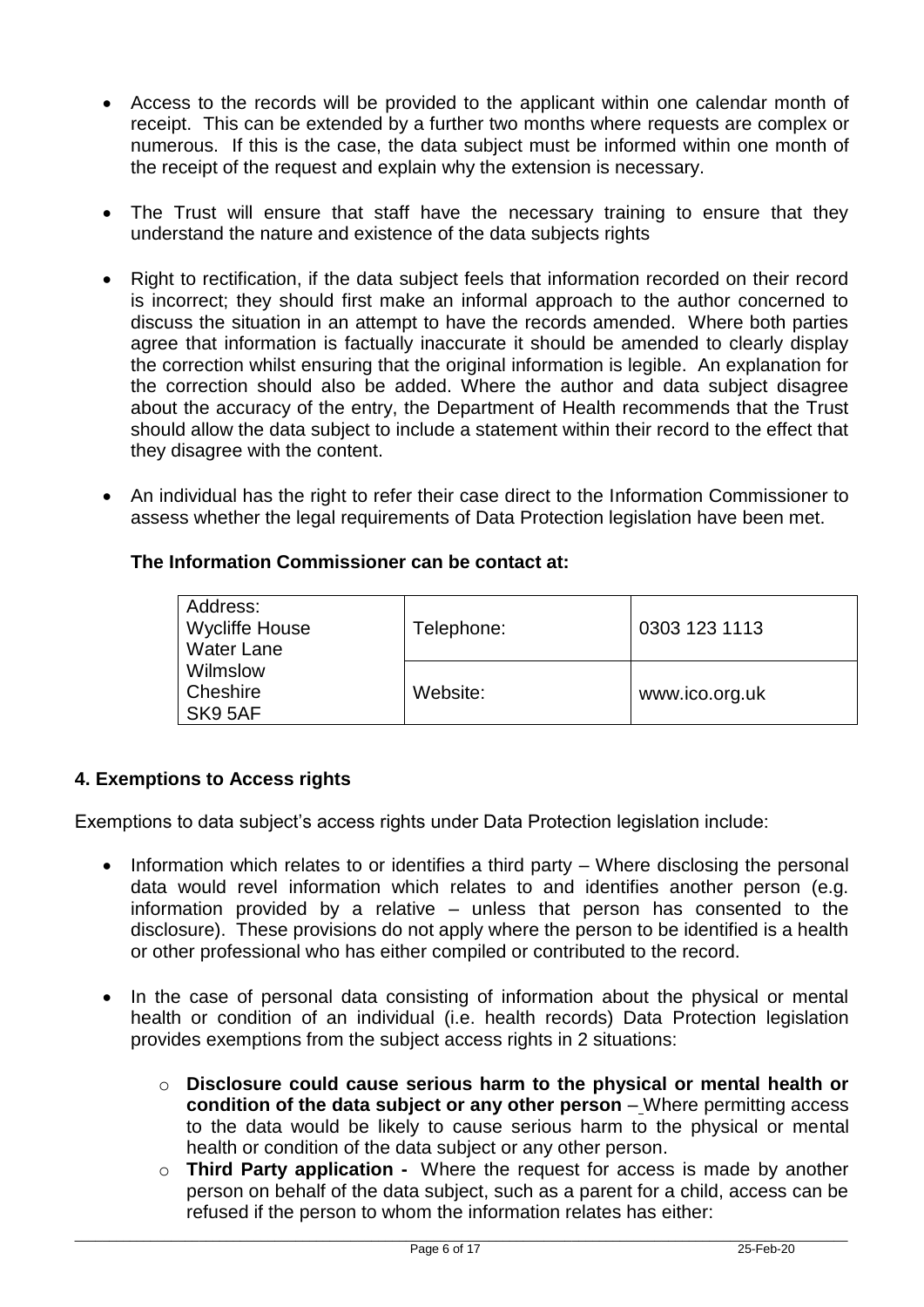- Access to the records will be provided to the applicant within one calendar month of receipt. This can be extended by a further two months where requests are complex or numerous. If this is the case, the data subject must be informed within one month of the receipt of the request and explain why the extension is necessary.
- The Trust will ensure that staff have the necessary training to ensure that they understand the nature and existence of the data subjects rights
- Right to rectification, if the data subject feels that information recorded on their record is incorrect; they should first make an informal approach to the author concerned to discuss the situation in an attempt to have the records amended. Where both parties agree that information is factually inaccurate it should be amended to clearly display the correction whilst ensuring that the original information is legible. An explanation for the correction should also be added. Where the author and data subject disagree about the accuracy of the entry, the Department of Health recommends that the Trust should allow the data subject to include a statement within their record to the effect that they disagree with the content.
- An individual has the right to refer their case direct to the Information Commissioner to assess whether the legal requirements of Data Protection legislation have been met.

# **The Information Commissioner can be contact at:**

| Address:<br><b>Wycliffe House</b><br><b>Water Lane</b> | Telephone: | 0303 123 1113  |
|--------------------------------------------------------|------------|----------------|
| Wilmslow<br>Cheshire<br>SK9 5AF                        | Website:   | www.ico.org.uk |

# **4. Exemptions to Access rights**

Exemptions to data subject's access rights under Data Protection legislation include:

- Information which relates to or identifies a third party Where disclosing the personal data would revel information which relates to and identifies another person (e.g. information provided by a relative – unless that person has consented to the disclosure). These provisions do not apply where the person to be identified is a health or other professional who has either compiled or contributed to the record.
- In the case of personal data consisting of information about the physical or mental health or condition of an individual (i.e. health records) Data Protection legislation provides exemptions from the subject access rights in 2 situations:
	- o **Disclosure could cause serious harm to the physical or mental health or condition of the data subject or any other person** *–* Where permitting access to the data would be likely to cause serious harm to the physical or mental health or condition of the data subject or any other person.
	- o **Third Party application -** Where the request for access is made by another person on behalf of the data subject, such as a parent for a child, access can be refused if the person to whom the information relates has either: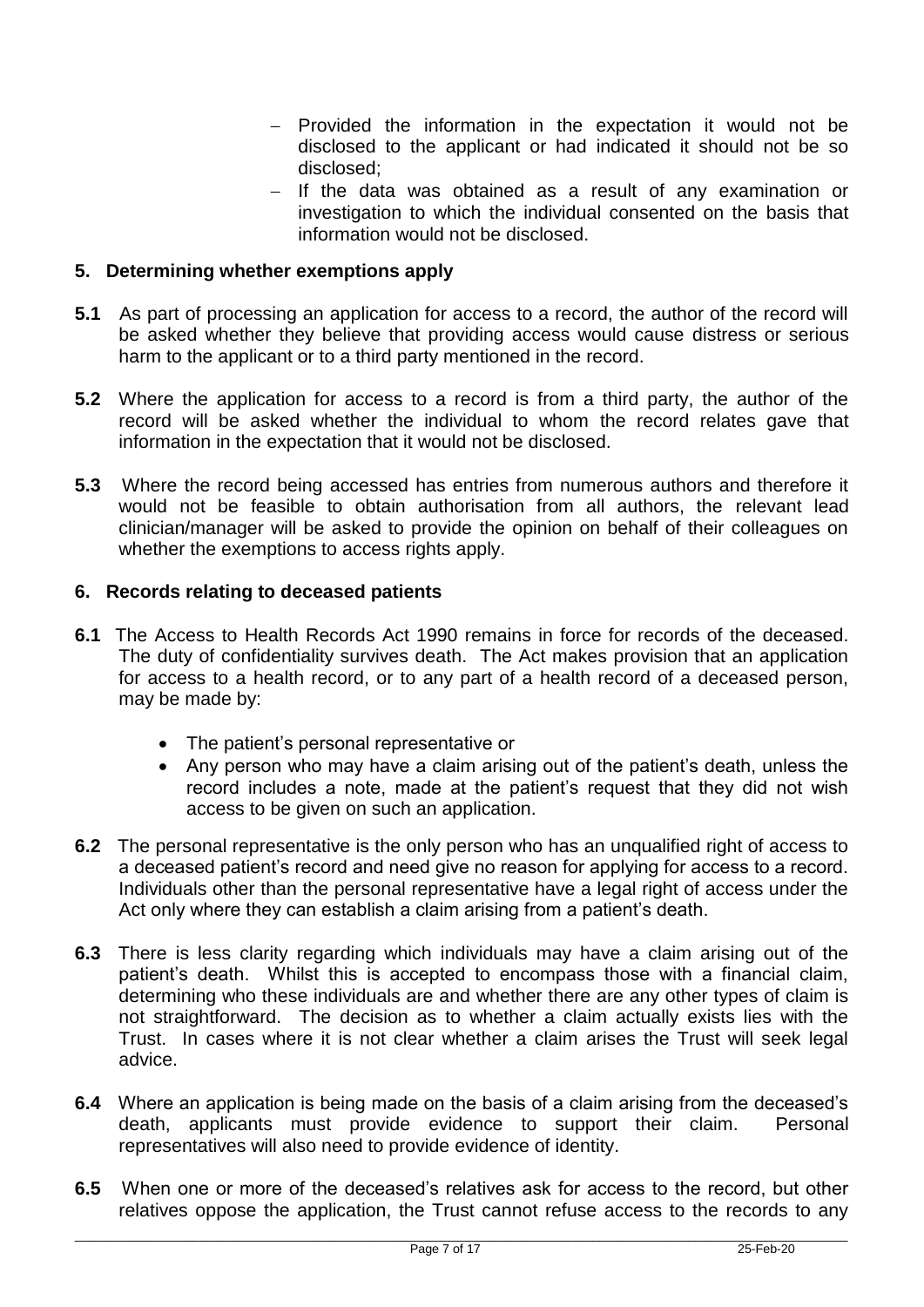- Provided the information in the expectation it would not be disclosed to the applicant or had indicated it should not be so disclosed;
- $-$  If the data was obtained as a result of any examination or investigation to which the individual consented on the basis that information would not be disclosed.

# **5. Determining whether exemptions apply**

- **5.1** As part of processing an application for access to a record, the author of the record will be asked whether they believe that providing access would cause distress or serious harm to the applicant or to a third party mentioned in the record.
- **5.2** Where the application for access to a record is from a third party, the author of the record will be asked whether the individual to whom the record relates gave that information in the expectation that it would not be disclosed.
- **5.3** Where the record being accessed has entries from numerous authors and therefore it would not be feasible to obtain authorisation from all authors, the relevant lead clinician/manager will be asked to provide the opinion on behalf of their colleagues on whether the exemptions to access rights apply.

#### **6. Records relating to deceased patients**

- **6.1** The Access to Health Records Act 1990 remains in force for records of the deceased. The duty of confidentiality survives death. The Act makes provision that an application for access to a health record, or to any part of a health record of a deceased person, may be made by:
	- The patient's personal representative or
	- Any person who may have a claim arising out of the patient's death, unless the record includes a note, made at the patient's request that they did not wish access to be given on such an application.
- **6.2** The personal representative is the only person who has an unqualified right of access to a deceased patient's record and need give no reason for applying for access to a record. Individuals other than the personal representative have a legal right of access under the Act only where they can establish a claim arising from a patient's death.
- **6.3** There is less clarity regarding which individuals may have a claim arising out of the patient's death. Whilst this is accepted to encompass those with a financial claim, determining who these individuals are and whether there are any other types of claim is not straightforward. The decision as to whether a claim actually exists lies with the Trust. In cases where it is not clear whether a claim arises the Trust will seek legal advice.
- **6.4** Where an application is being made on the basis of a claim arising from the deceased's death, applicants must provide evidence to support their claim. Personal representatives will also need to provide evidence of identity.
- **6.5** When one or more of the deceased's relatives ask for access to the record, but other relatives oppose the application, the Trust cannot refuse access to the records to any

\_\_\_\_\_\_\_\_\_\_\_\_\_\_\_\_\_\_\_\_\_\_\_\_\_\_\_\_\_\_\_\_\_\_\_\_\_\_\_\_\_\_\_\_\_\_\_\_\_\_\_\_\_\_\_\_\_\_\_\_\_\_\_\_\_\_\_\_\_\_\_\_\_\_\_\_\_\_\_\_\_\_\_\_\_\_\_\_\_\_\_\_\_\_\_\_\_\_\_\_\_\_\_\_\_\_\_\_\_\_\_\_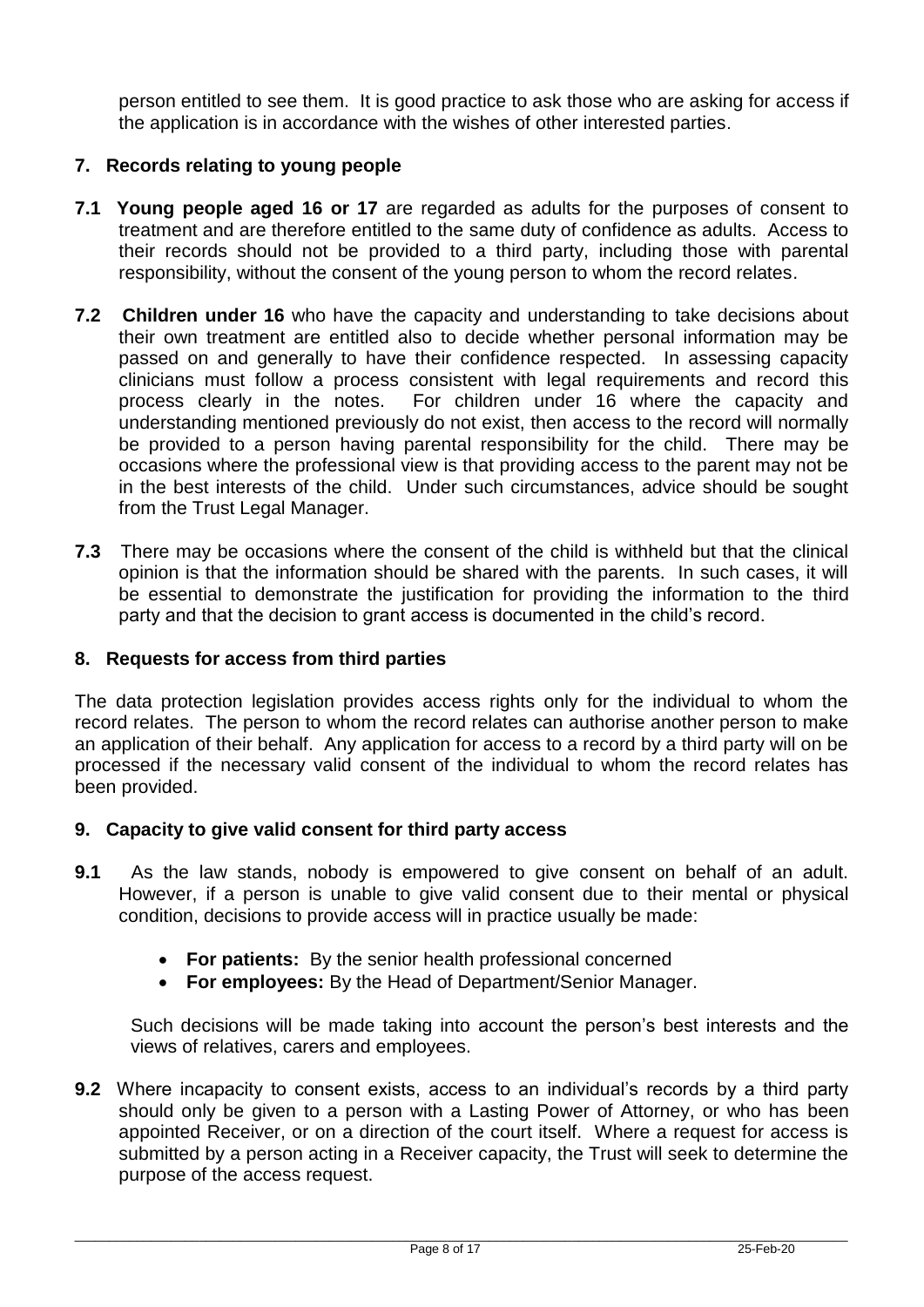person entitled to see them. It is good practice to ask those who are asking for access if the application is in accordance with the wishes of other interested parties.

# **7. Records relating to young people**

- **7.1 Young people aged 16 or 17** are regarded as adults for the purposes of consent to treatment and are therefore entitled to the same duty of confidence as adults. Access to their records should not be provided to a third party, including those with parental responsibility, without the consent of the young person to whom the record relates.
- **7.2 Children under 16** who have the capacity and understanding to take decisions about their own treatment are entitled also to decide whether personal information may be passed on and generally to have their confidence respected. In assessing capacity clinicians must follow a process consistent with legal requirements and record this process clearly in the notes. For children under 16 where the capacity and understanding mentioned previously do not exist, then access to the record will normally be provided to a person having parental responsibility for the child. There may be occasions where the professional view is that providing access to the parent may not be in the best interests of the child. Under such circumstances, advice should be sought from the Trust Legal Manager.
- **7.3** There may be occasions where the consent of the child is withheld but that the clinical opinion is that the information should be shared with the parents. In such cases, it will be essential to demonstrate the justification for providing the information to the third party and that the decision to grant access is documented in the child's record.

#### **8. Requests for access from third parties**

The data protection legislation provides access rights only for the individual to whom the record relates. The person to whom the record relates can authorise another person to make an application of their behalf. Any application for access to a record by a third party will on be processed if the necessary valid consent of the individual to whom the record relates has been provided.

#### **9. Capacity to give valid consent for third party access**

- **9.1** As the law stands, nobody is empowered to give consent on behalf of an adult. However, if a person is unable to give valid consent due to their mental or physical condition, decisions to provide access will in practice usually be made:
	- **For patients:** By the senior health professional concerned
	- **For employees:** By the Head of Department/Senior Manager.

Such decisions will be made taking into account the person's best interests and the views of relatives, carers and employees.

**9.2** Where incapacity to consent exists, access to an individual's records by a third party should only be given to a person with a Lasting Power of Attorney, or who has been appointed Receiver, or on a direction of the court itself. Where a request for access is submitted by a person acting in a Receiver capacity, the Trust will seek to determine the purpose of the access request.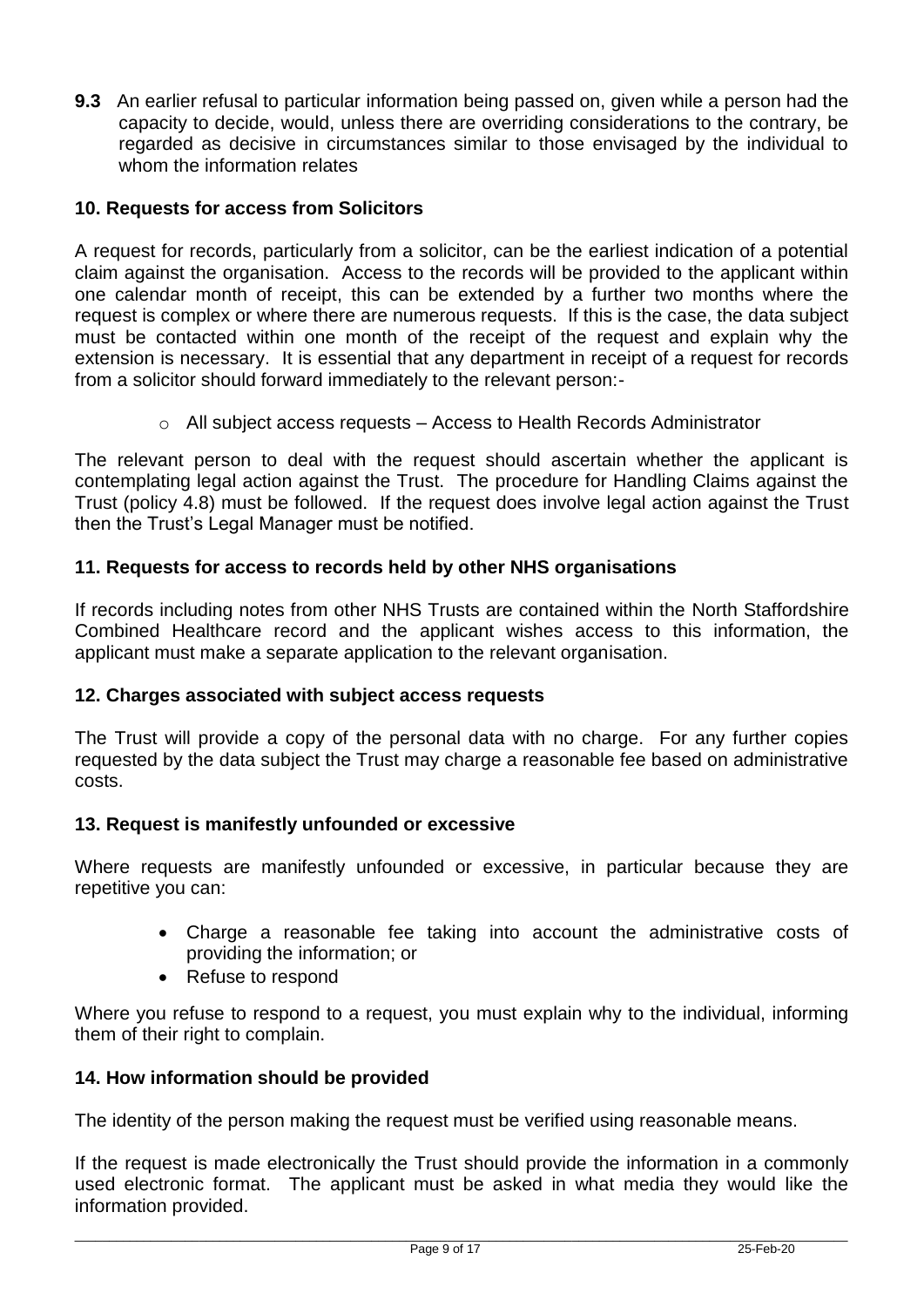**9.3** An earlier refusal to particular information being passed on, given while a person had the capacity to decide, would, unless there are overriding considerations to the contrary, be regarded as decisive in circumstances similar to those envisaged by the individual to whom the information relates

# **10. Requests for access from Solicitors**

A request for records, particularly from a solicitor, can be the earliest indication of a potential claim against the organisation. Access to the records will be provided to the applicant within one calendar month of receipt, this can be extended by a further two months where the request is complex or where there are numerous requests. If this is the case, the data subject must be contacted within one month of the receipt of the request and explain why the extension is necessary. It is essential that any department in receipt of a request for records from a solicitor should forward immediately to the relevant person:-

 $\circ$  All subject access requests – Access to Health Records Administrator

The relevant person to deal with the request should ascertain whether the applicant is contemplating legal action against the Trust. The procedure for Handling Claims against the Trust (policy 4.8) must be followed. If the request does involve legal action against the Trust then the Trust's Legal Manager must be notified.

# **11. Requests for access to records held by other NHS organisations**

If records including notes from other NHS Trusts are contained within the North Staffordshire Combined Healthcare record and the applicant wishes access to this information, the applicant must make a separate application to the relevant organisation.

#### **12. Charges associated with subject access requests**

The Trust will provide a copy of the personal data with no charge. For any further copies requested by the data subject the Trust may charge a reasonable fee based on administrative costs.

#### **13. Request is manifestly unfounded or excessive**

Where requests are manifestly unfounded or excessive, in particular because they are repetitive you can:

- Charge a reasonable fee taking into account the administrative costs of providing the information; or
- Refuse to respond

Where you refuse to respond to a request, you must explain why to the individual, informing them of their right to complain.

#### **14. How information should be provided**

The identity of the person making the request must be verified using reasonable means.

If the request is made electronically the Trust should provide the information in a commonly used electronic format. The applicant must be asked in what media they would like the information provided.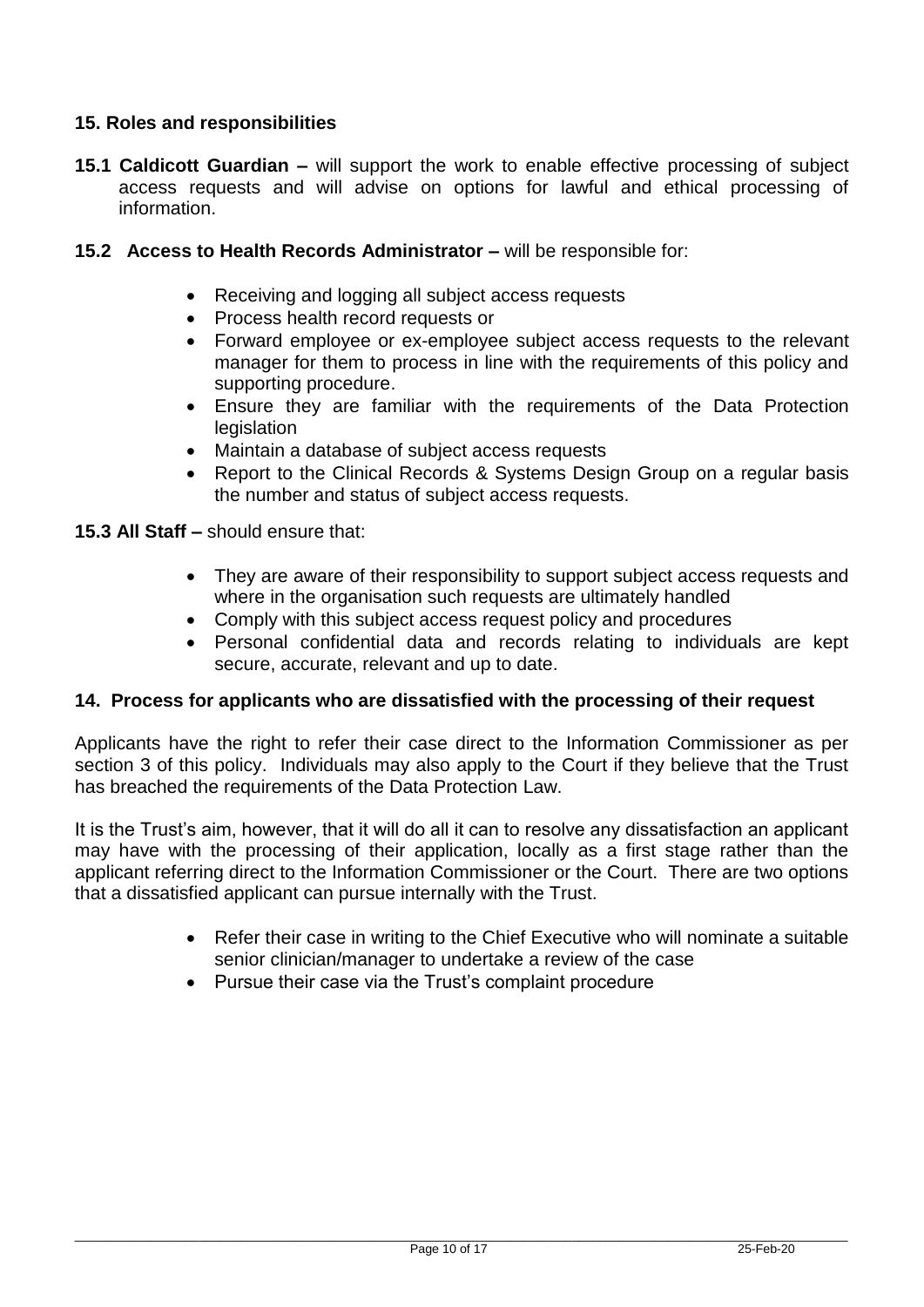# **15. Roles and responsibilities**

- **15.1 Caldicott Guardian –** will support the work to enable effective processing of subject access requests and will advise on options for lawful and ethical processing of information.
- **15.2 Access to Health Records Administrator –** will be responsible for:
	- Receiving and logging all subject access requests
	- Process health record requests or
	- Forward employee or ex-employee subject access requests to the relevant manager for them to process in line with the requirements of this policy and supporting procedure.
	- Ensure they are familiar with the requirements of the Data Protection legislation
	- Maintain a database of subject access requests
	- Report to the Clinical Records & Systems Design Group on a regular basis the number and status of subject access requests.
- **15.3 All Staff –** should ensure that:
	- They are aware of their responsibility to support subject access requests and where in the organisation such requests are ultimately handled
	- Comply with this subject access request policy and procedures
	- Personal confidential data and records relating to individuals are kept secure, accurate, relevant and up to date.

#### **14. Process for applicants who are dissatisfied with the processing of their request**

Applicants have the right to refer their case direct to the Information Commissioner as per section 3 of this policy. Individuals may also apply to the Court if they believe that the Trust has breached the requirements of the Data Protection Law.

It is the Trust's aim, however, that it will do all it can to resolve any dissatisfaction an applicant may have with the processing of their application, locally as a first stage rather than the applicant referring direct to the Information Commissioner or the Court. There are two options that a dissatisfied applicant can pursue internally with the Trust.

- Refer their case in writing to the Chief Executive who will nominate a suitable senior clinician/manager to undertake a review of the case
- Pursue their case via the Trust's complaint procedure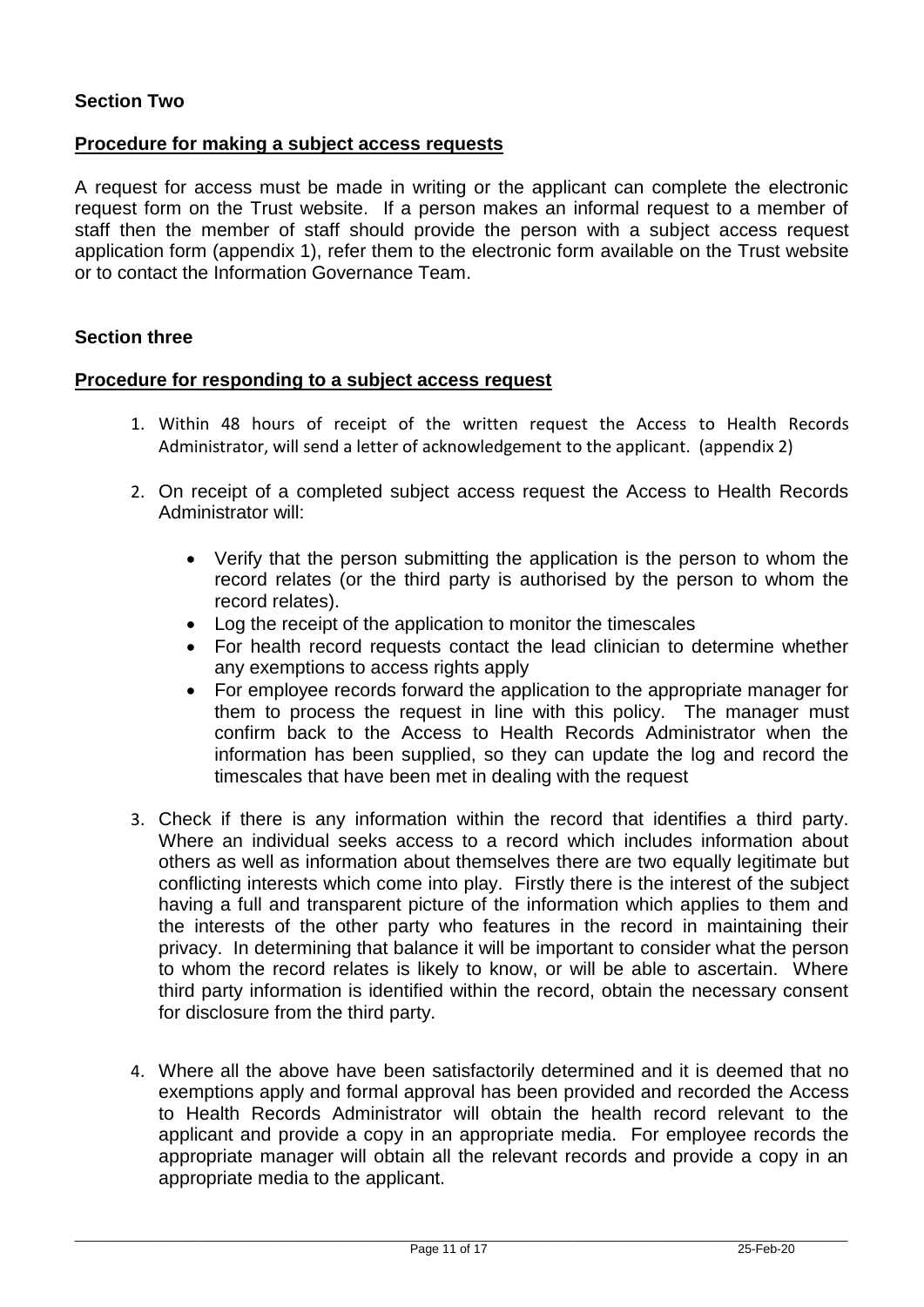# **Section Two**

#### **Procedure for making a subject access requests**

A request for access must be made in writing or the applicant can complete the electronic request form on the Trust website. If a person makes an informal request to a member of staff then the member of staff should provide the person with a subject access request application form (appendix 1), refer them to the electronic form available on the Trust website or to contact the Information Governance Team.

#### **Section three**

#### **Procedure for responding to a subject access request**

- 1. Within 48 hours of receipt of the written request the Access to Health Records Administrator, will send a letter of acknowledgement to the applicant. (appendix 2)
- 2. On receipt of a completed subject access request the Access to Health Records Administrator will:
	- Verify that the person submitting the application is the person to whom the record relates (or the third party is authorised by the person to whom the record relates).
	- Log the receipt of the application to monitor the timescales
	- For health record requests contact the lead clinician to determine whether any exemptions to access rights apply
	- For employee records forward the application to the appropriate manager for them to process the request in line with this policy. The manager must confirm back to the Access to Health Records Administrator when the information has been supplied, so they can update the log and record the timescales that have been met in dealing with the request
- 3. Check if there is any information within the record that identifies a third party. Where an individual seeks access to a record which includes information about others as well as information about themselves there are two equally legitimate but conflicting interests which come into play. Firstly there is the interest of the subject having a full and transparent picture of the information which applies to them and the interests of the other party who features in the record in maintaining their privacy. In determining that balance it will be important to consider what the person to whom the record relates is likely to know, or will be able to ascertain. Where third party information is identified within the record, obtain the necessary consent for disclosure from the third party.
- 4. Where all the above have been satisfactorily determined and it is deemed that no exemptions apply and formal approval has been provided and recorded the Access to Health Records Administrator will obtain the health record relevant to the applicant and provide a copy in an appropriate media. For employee records the appropriate manager will obtain all the relevant records and provide a copy in an appropriate media to the applicant.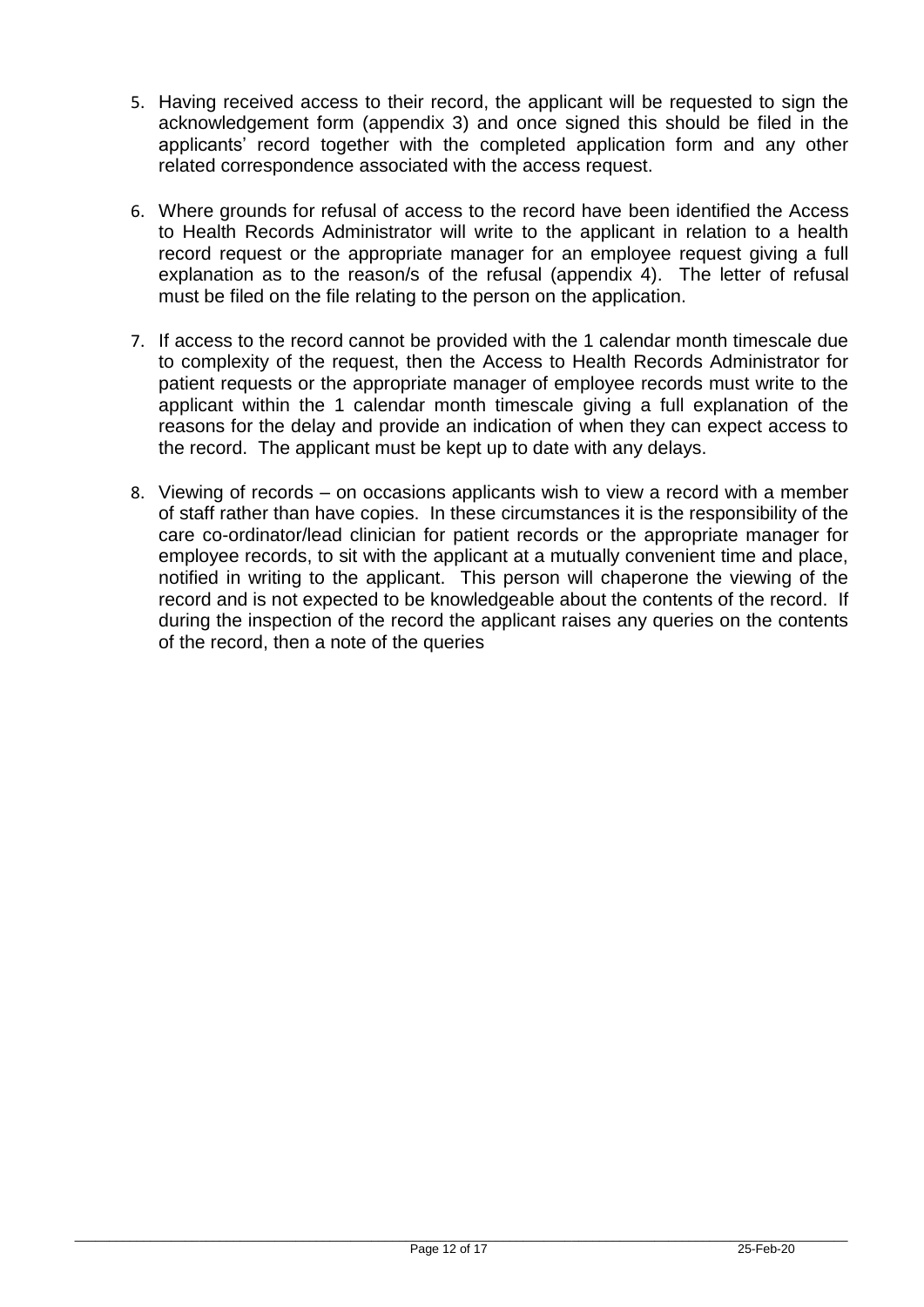- 5. Having received access to their record, the applicant will be requested to sign the acknowledgement form (appendix 3) and once signed this should be filed in the applicants' record together with the completed application form and any other related correspondence associated with the access request.
- 6. Where grounds for refusal of access to the record have been identified the Access to Health Records Administrator will write to the applicant in relation to a health record request or the appropriate manager for an employee request giving a full explanation as to the reason/s of the refusal (appendix 4). The letter of refusal must be filed on the file relating to the person on the application.
- 7. If access to the record cannot be provided with the 1 calendar month timescale due to complexity of the request, then the Access to Health Records Administrator for patient requests or the appropriate manager of employee records must write to the applicant within the 1 calendar month timescale giving a full explanation of the reasons for the delay and provide an indication of when they can expect access to the record. The applicant must be kept up to date with any delays.
- 8. Viewing of records on occasions applicants wish to view a record with a member of staff rather than have copies. In these circumstances it is the responsibility of the care co-ordinator/lead clinician for patient records or the appropriate manager for employee records, to sit with the applicant at a mutually convenient time and place, notified in writing to the applicant. This person will chaperone the viewing of the record and is not expected to be knowledgeable about the contents of the record. If during the inspection of the record the applicant raises any queries on the contents of the record, then a note of the queries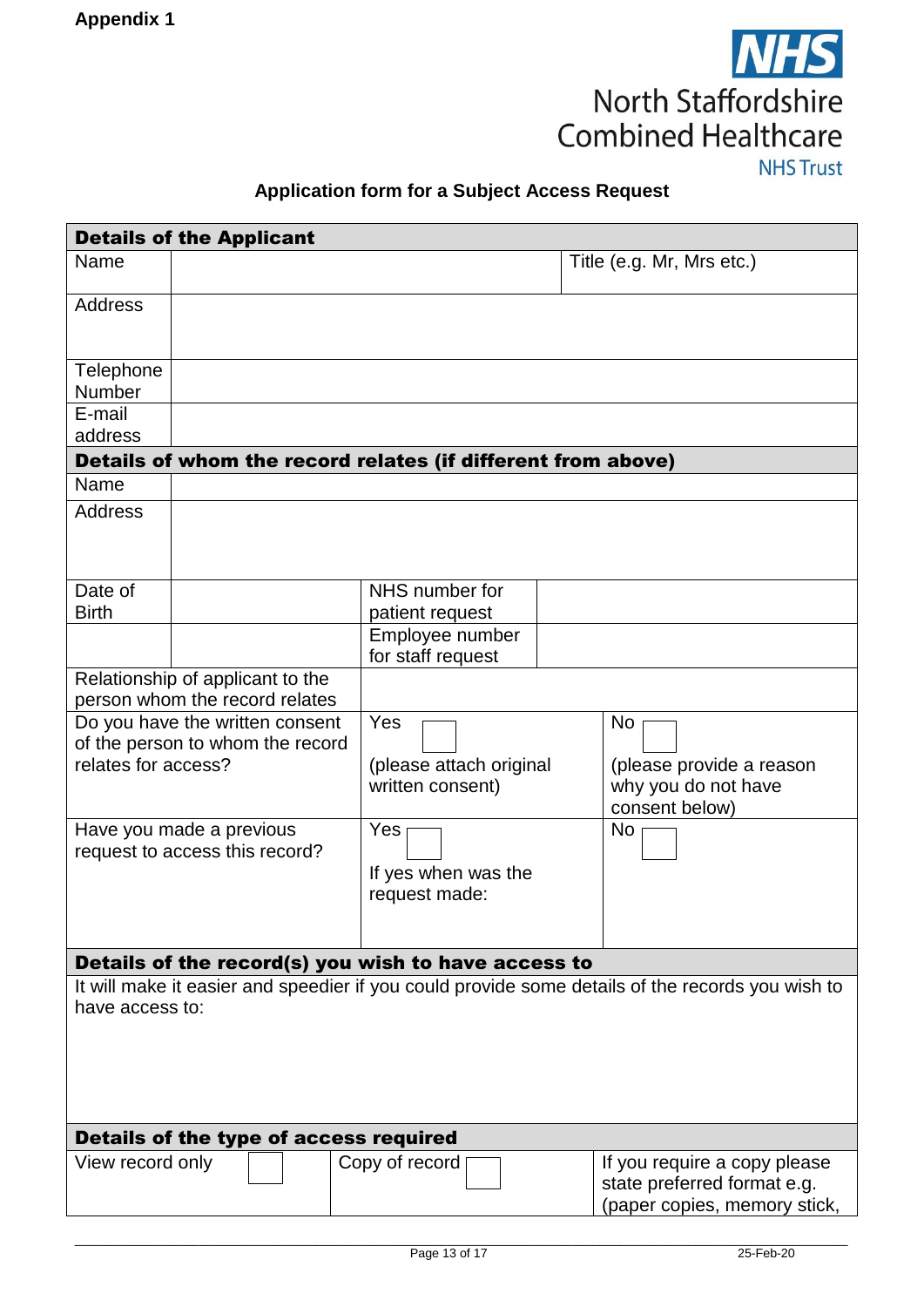

# **Application form for a Subject Access Request**

| <b>Details of the Applicant</b>                                                                                     |                                                                    |                                                              |                                                                                             |  |
|---------------------------------------------------------------------------------------------------------------------|--------------------------------------------------------------------|--------------------------------------------------------------|---------------------------------------------------------------------------------------------|--|
| Name                                                                                                                |                                                                    |                                                              | Title (e.g. Mr, Mrs etc.)                                                                   |  |
| <b>Address</b>                                                                                                      |                                                                    |                                                              |                                                                                             |  |
| Telephone<br><b>Number</b>                                                                                          |                                                                    |                                                              |                                                                                             |  |
| E-mail<br>address                                                                                                   |                                                                    |                                                              |                                                                                             |  |
|                                                                                                                     |                                                                    | Details of whom the record relates (if different from above) |                                                                                             |  |
| Name                                                                                                                |                                                                    |                                                              |                                                                                             |  |
| <b>Address</b>                                                                                                      |                                                                    |                                                              |                                                                                             |  |
| Date of<br><b>Birth</b>                                                                                             |                                                                    | NHS number for<br>patient request                            |                                                                                             |  |
|                                                                                                                     |                                                                    | Employee number<br>for staff request                         |                                                                                             |  |
|                                                                                                                     | Relationship of applicant to the<br>person whom the record relates |                                                              |                                                                                             |  |
| Do you have the written consent<br>of the person to whom the record<br>relates for access?                          |                                                                    | Yes<br>(please attach original<br>written consent)           | No<br>(please provide a reason<br>why you do not have<br>consent below)                     |  |
| Have you made a previous<br>request to access this record?                                                          |                                                                    | Yes<br>If yes when was the<br>request made:                  | No                                                                                          |  |
| Details of the record(s) you wish to have access to                                                                 |                                                                    |                                                              |                                                                                             |  |
| It will make it easier and speedier if you could provide some details of the records you wish to<br>have access to: |                                                                    |                                                              |                                                                                             |  |
| Details of the type of access required                                                                              |                                                                    |                                                              |                                                                                             |  |
| View record only                                                                                                    | Copy of record                                                     |                                                              | If you require a copy please<br>state preferred format e.g.<br>(paper copies, memory stick, |  |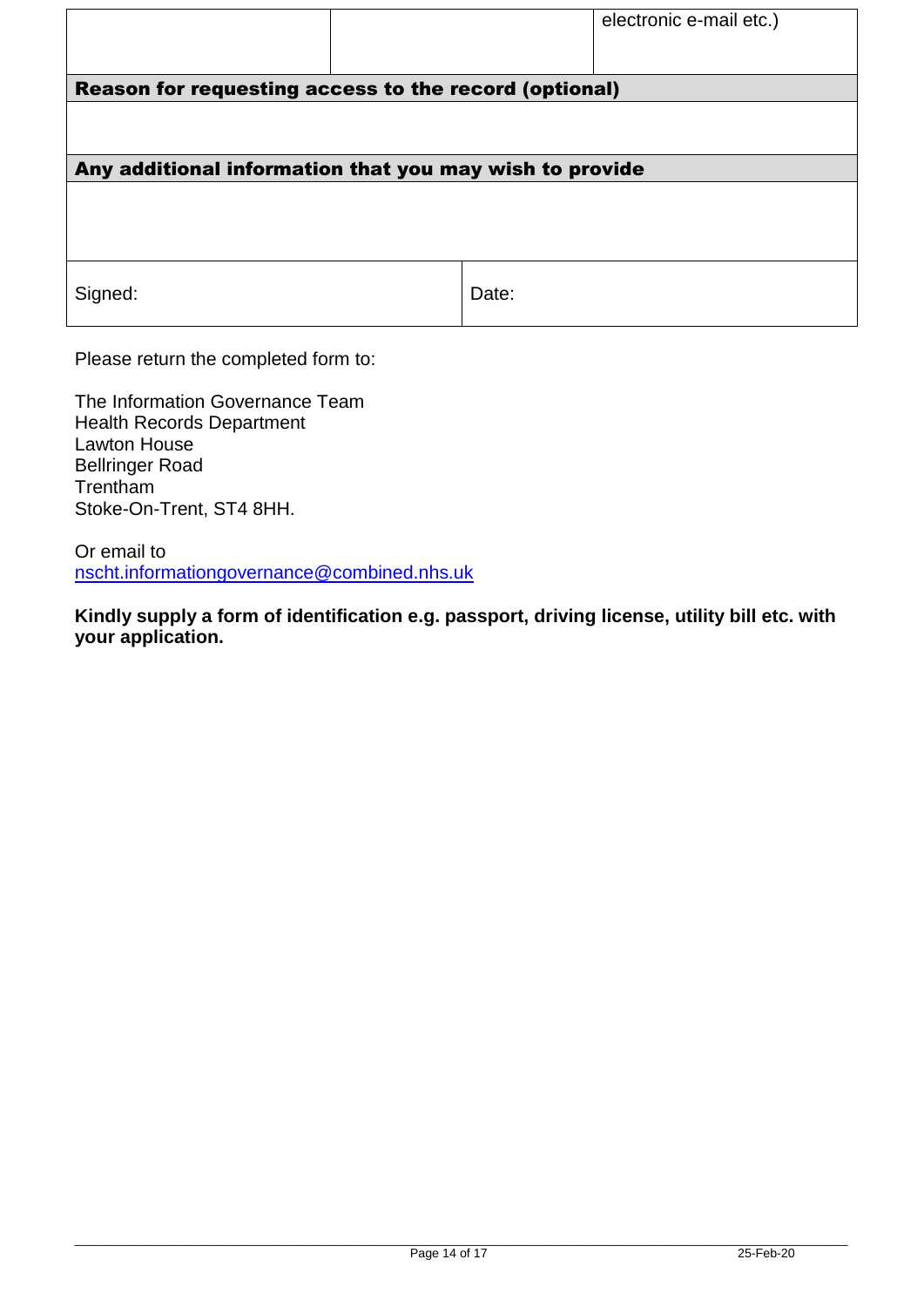|                                                         |       | electronic e-mail etc.) |
|---------------------------------------------------------|-------|-------------------------|
|                                                         |       |                         |
| Reason for requesting access to the record (optional)   |       |                         |
|                                                         |       |                         |
|                                                         |       |                         |
| Any additional information that you may wish to provide |       |                         |
|                                                         |       |                         |
|                                                         |       |                         |
|                                                         |       |                         |
| Signed:                                                 | Date: |                         |
|                                                         |       |                         |

Please return the completed form to:

The Information Governance Team Health Records Department Lawton House Bellringer Road Trentham Stoke-On-Trent, ST4 8HH.

Or email to [nscht.informationgovernance@combined.nhs.uk](mailto:nscht.informationgovernance@combined.nhs.uk)

**Kindly supply a form of identification e.g. passport, driving license, utility bill etc. with your application.**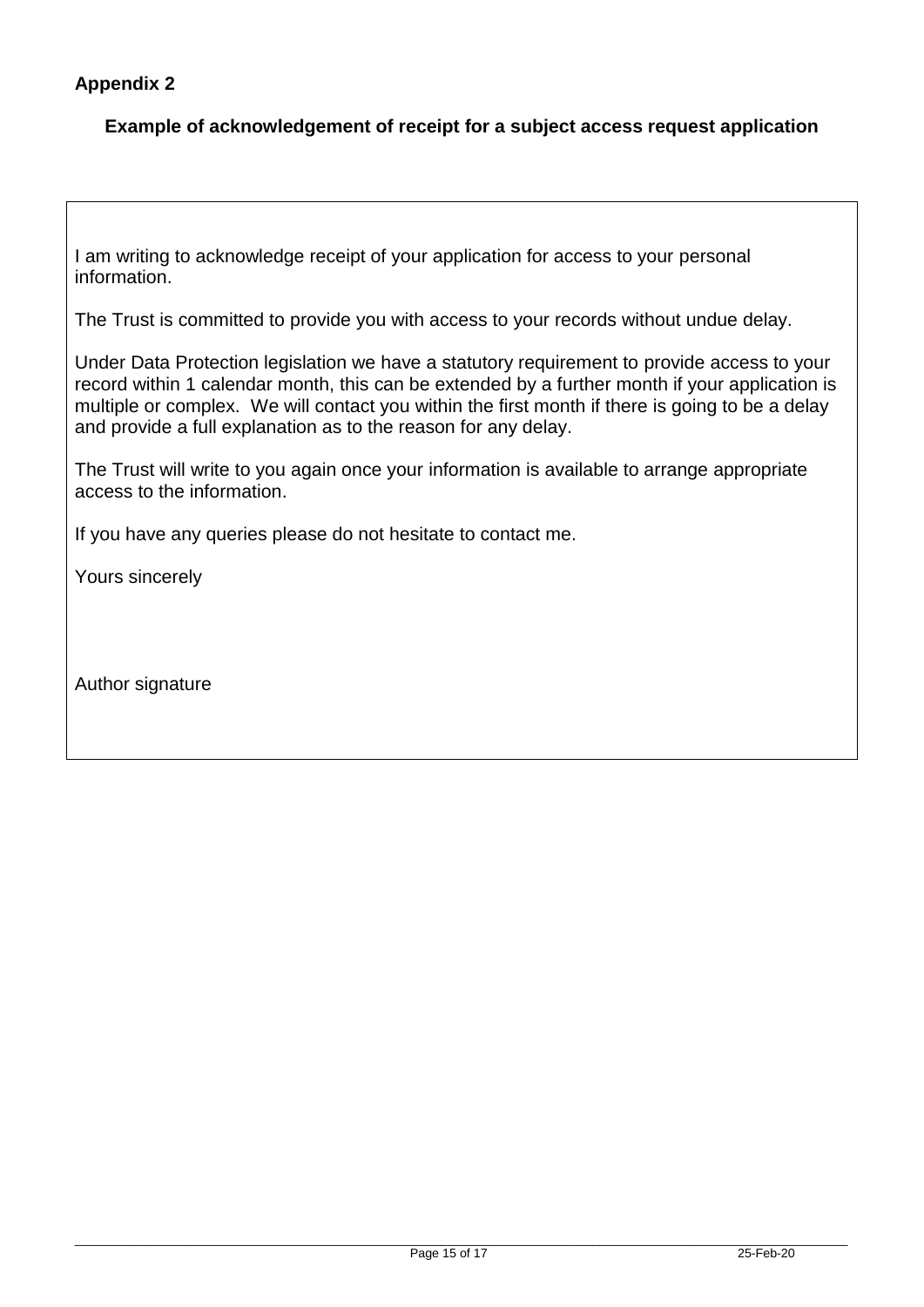# **Appendix 2**

# **Example of acknowledgement of receipt for a subject access request application**

I am writing to acknowledge receipt of your application for access to your personal information.

The Trust is committed to provide you with access to your records without undue delay.

Under Data Protection legislation we have a statutory requirement to provide access to your record within 1 calendar month, this can be extended by a further month if your application is multiple or complex. We will contact you within the first month if there is going to be a delay and provide a full explanation as to the reason for any delay.

The Trust will write to you again once your information is available to arrange appropriate access to the information.

If you have any queries please do not hesitate to contact me.

Yours sincerely

Author signature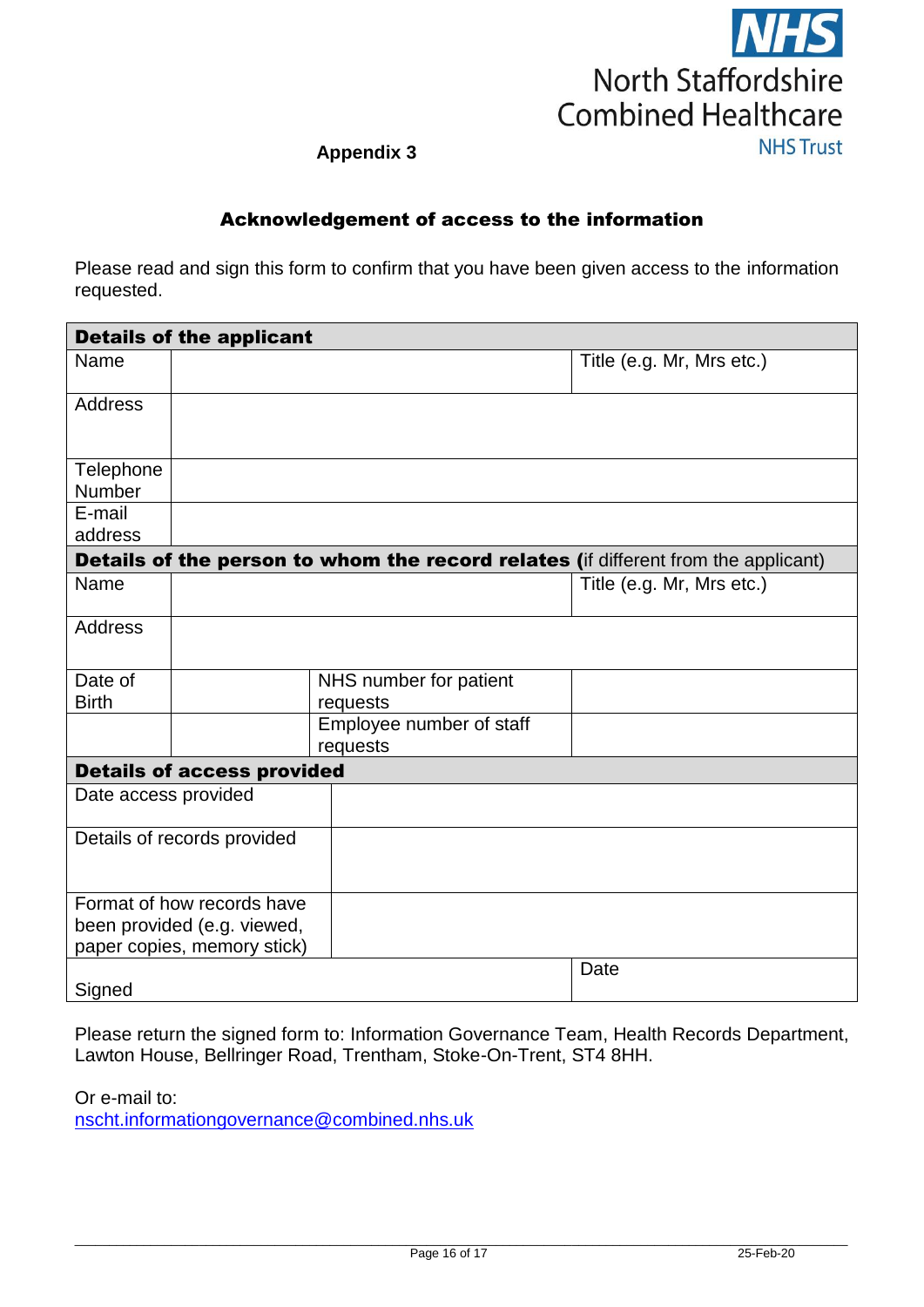

# **Appendix 3**

# Acknowledgement of access to the information

Please read and sign this form to confirm that you have been given access to the information requested.

| <b>Details of the applicant</b> |                                   |                                                                                    |                           |  |
|---------------------------------|-----------------------------------|------------------------------------------------------------------------------------|---------------------------|--|
| Name                            |                                   |                                                                                    | Title (e.g. Mr, Mrs etc.) |  |
| <b>Address</b>                  |                                   |                                                                                    |                           |  |
| Telephone                       |                                   |                                                                                    |                           |  |
| Number<br>E-mail                |                                   |                                                                                    |                           |  |
| address                         |                                   |                                                                                    |                           |  |
|                                 |                                   |                                                                                    |                           |  |
|                                 |                                   | Details of the person to whom the record relates (if different from the applicant) |                           |  |
| Name                            |                                   |                                                                                    | Title (e.g. Mr, Mrs etc.) |  |
| <b>Address</b>                  |                                   |                                                                                    |                           |  |
| Date of<br><b>Birth</b>         |                                   | NHS number for patient<br>requests                                                 |                           |  |
|                                 |                                   | Employee number of staff<br>requests                                               |                           |  |
|                                 | <b>Details of access provided</b> |                                                                                    |                           |  |
| Date access provided            |                                   |                                                                                    |                           |  |
| Details of records provided     |                                   |                                                                                    |                           |  |
|                                 | Format of how records have        |                                                                                    |                           |  |
|                                 | been provided (e.g. viewed,       |                                                                                    |                           |  |
|                                 | paper copies, memory stick)       |                                                                                    | Date                      |  |
| Signed                          |                                   |                                                                                    |                           |  |

Please return the signed form to: Information Governance Team, Health Records Department, Lawton House, Bellringer Road, Trentham, Stoke-On-Trent, ST4 8HH.

Or e-mail to:

[nscht.informationgovernance@combined.nhs.uk](mailto:nscht.informationgovernance@combined.nhs.uk)